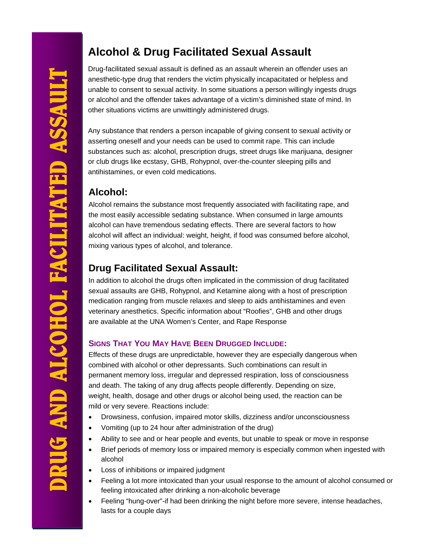# **Alcohol & Drug Facilitated Sexual Assault**

Drug-facilitated sexual assault is defined as an assault wherein an offender uses an anesthetic-type drug that renders the victim physically incapacitated or helpless and unable to consent to sexual activity. In some situations a person willingly ingests drugs or alcohol and the offender takes advantage of a victim's diminished state of mind. In other situations victims are unwittingly administered drugs.

Any substance that renders a person incapable of giving consent to sexual activity or asserting oneself and your needs can be used to commit rape. This can include substances such as: alcohol, prescription drugs, street drugs like marijuana, designer or club drugs like ecstasy, GHB, Rohypnol, over-the-counter sleeping pills and antihistamines, or even cold medications.

### **Alcohol:**

Alcohol remains the substance most frequently associated with facilitating rape, and the most easily accessible sedating substance. When consumed in large amounts alcohol can have tremendous sedating effects. There are several factors to how alcohol will affect an individual: weight, height, if food was consumed before alcohol, mixing various types of alcohol, and tolerance.

# **Drug Facilitated Sexual Assault:**

In addition to alcohol the drugs often implicated in the commission of drug facilitated sexual assaults are GHB, Rohypnol, and Ketamine along with a host of prescription medication ranging from muscle relaxes and sleep to aids antihistamines and even veterinary anesthetics. Specific information about "Roofies", GHB and other drugs are available at the UNA Women's Center, and Rape Response

#### **SIGNS THAT YOU MAY HAVE BEEN DRUGGED INCLUDE:**

Effects of these drugs are unpredictable, however they are especially dangerous when combined with alcohol or other depressants. Such combinations can result in permanent memory loss, irregular and depressed respiration, loss of consciousness and death. The taking of any drug affects people differently. Depending on size, weight, health, dosage and other drugs or alcohol being used, the reaction can be mild or very severe. Reactions include:

- Drowsiness, confusion, impaired motor skills, dizziness and/or unconsciousness
- Vomiting (up to 24 hour after administration of the drug)
- Ability to see and or hear people and events, but unable to speak or move in response
- Brief periods of memory loss or impaired memory is especially common when ingested with alcohol
- Loss of inhibitions or impaired judgment
- Feeling a lot more intoxicated than your usual response to the amount of alcohol consumed or feeling intoxicated after drinking a non-alcoholic beverage
- Feeling "hung-over"-if had been drinking the night before more severe, intense headaches, lasts for a couple days